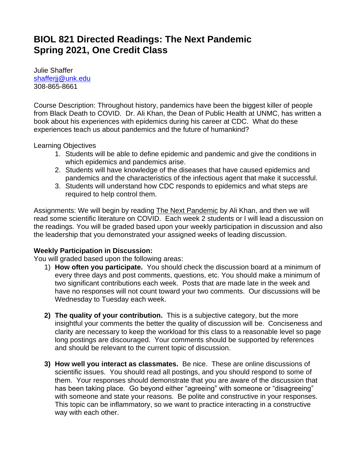# **BIOL 821 Directed Readings: The Next Pandemic Spring 2021, One Credit Class**

Julie Shaffer [shafferjj@unk.edu](mailto:shafferjj@unk.edu) 308-865-8661

Course Description: Throughout history, pandemics have been the biggest killer of people from Black Death to COVID. Dr. Ali Khan, the Dean of Public Health at UNMC, has written a book about his experiences with epidemics during his career at CDC. What do these experiences teach us about pandemics and the future of humankind?

Learning Objectives

- 1. Students will be able to define epidemic and pandemic and give the conditions in which epidemics and pandemics arise.
- 2. Students will have knowledge of the diseases that have caused epidemics and pandemics and the characteristics of the infectious agent that make it successful.
- 3. Students will understand how CDC responds to epidemics and what steps are required to help control them.

Assignments: We will begin by reading The Next Pandemic by Ali Khan, and then we will read some scientific literature on COVID. Each week 2 students or I will lead a discussion on the readings. You will be graded based upon your weekly participation in discussion and also the leadership that you demonstrated your assigned weeks of leading discussion.

# **Weekly Participation in Discussion:**

You will graded based upon the following areas:

- 1) **How often you participate.** You should check the discussion board at a minimum of every three days and post comments, questions, etc. You should make a minimum of two significant contributions each week. Posts that are made late in the week and have no responses will not count toward your two comments. Our discussions will be Wednesday to Tuesday each week.
- **2) The quality of your contribution.** This is a subjective category, but the more insightful your comments the better the quality of discussion will be. Conciseness and clarity are necessary to keep the workload for this class to a reasonable level so page long postings are discouraged. Your comments should be supported by references and should be relevant to the current topic of discussion.
- **3) How well you interact as classmates.** Be nice. These are online discussions of scientific issues. You should read all postings, and you should respond to some of them. Your responses should demonstrate that you are aware of the discussion that has been taking place. Go beyond either "agreeing" with someone or "disagreeing" with someone and state your reasons. Be polite and constructive in your responses. This topic can be inflammatory, so we want to practice interacting in a constructive way with each other.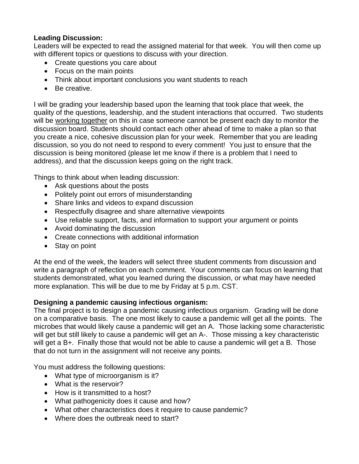# **Leading Discussion:**

Leaders will be expected to read the assigned material for that week. You will then come up with different topics or questions to discuss with your direction.

- Create questions you care about
- Focus on the main points
- Think about important conclusions you want students to reach
- Be creative.

I will be grading your leadership based upon the learning that took place that week, the quality of the questions, leadership, and the student interactions that occurred. Two students will be working together on this in case someone cannot be present each day to monitor the discussion board. Students should contact each other ahead of time to make a plan so that you create a nice, cohesive discussion plan for your week. Remember that you are leading discussion, so you do not need to respond to every comment! You just to ensure that the discussion is being monitored (please let me know if there is a problem that I need to address), and that the discussion keeps going on the right track.

Things to think about when leading discussion:

- Ask questions about the posts
- Politely point out errors of misunderstanding
- Share links and videos to expand discussion
- Respectfully disagree and share alternative viewpoints
- Use reliable support, facts, and information to support your argument or points
- Avoid dominating the discussion
- Create connections with additional information
- Stay on point

At the end of the week, the leaders will select three student comments from discussion and write a paragraph of reflection on each comment. Your comments can focus on learning that students demonstrated, what you learned during the discussion, or what may have needed more explanation. This will be due to me by Friday at 5 p.m. CST.

# **Designing a pandemic causing infectious organism:**

The final project is to design a pandemic causing infectious organism. Grading will be done on a comparative basis. The one most likely to cause a pandemic will get all the points. The microbes that would likely cause a pandemic will get an A. Those lacking some characteristic will get but still likely to cause a pandemic will get an A-. Those missing a key characteristic will get a B+. Finally those that would not be able to cause a pandemic will get a B. Those that do not turn in the assignment will not receive any points.

You must address the following questions:

- What type of microorganism is it?
- What is the reservoir?
- How is it transmitted to a host?
- What pathogenicity does it cause and how?
- What other characteristics does it require to cause pandemic?
- Where does the outbreak need to start?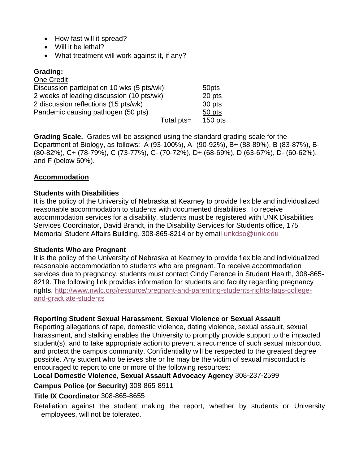- How fast will it spread?
- Will it be lethal?
- What treatment will work against it, if any?

## **Grading:**

| One Credit                                 |            |           |
|--------------------------------------------|------------|-----------|
| Discussion participation 10 wks (5 pts/wk) |            | 50pts     |
| 2 weeks of leading discussion (10 pts/wk)  |            | 20 pts    |
| 2 discussion reflections (15 pts/wk)       |            | 30 pts    |
| Pandemic causing pathogen (50 pts)         |            | 50 pts    |
|                                            | Total pts= | $150$ pts |

**Grading Scale.** Grades will be assigned using the standard grading scale for the Department of Biology, as follows: A (93-100%), A- (90-92%), B+ (88-89%), B (83-87%), B- (80-82%), C+ (78-79%), C (73-77%), C- (70-72%), D+ (68-69%), D (63-67%), D- (60-62%), and F (below 60%).

## **Accommodation**

#### **Students with Disabilities**

It is the policy of the University of Nebraska at Kearney to provide flexible and individualized reasonable accommodation to students with documented disabilities. To receive accommodation services for a disability, students must be registered with UNK Disabilities Services Coordinator, David Brandt, in the Disability Services for Students office, 175 Memorial Student Affairs Building, 308-865-8214 or by email [unkdso@unk.edu](mailto:unkdso@unk.edu)

#### **Students Who are Pregnant**

It is the policy of the University of Nebraska at Kearney to provide flexible and individualized reasonable accommodation to students who are pregnant. To receive accommodation services due to pregnancy, students must contact Cindy Ference in Student Health, 308-865- 8219. The following link provides information for students and faculty regarding pregnancy rights. [http://www.nwlc.org/resource/pregnant-and-parenting-students-rights-faqs-college](https://urldefense.proofpoint.com/v2/url?u=http-3A__www.nwlc.org_resource_pregnant-2Dand-2Dparenting-2Dstudents-2Drights-2Dfaqs-2Dcollege-2Dand-2Dgraduate-2Dstudents&d=DwMFAg&c=Cu5g146wZdoqVuKpTNsYHeFX_rg6kWhlkLF8Eft-wwo&r=BJkIhAaMtWY7PlqIhIOyVw&m=RgBL3s2VNHfvD5ReMK2q_PhwYU8dbEt1vxs1BO4WkpQ&s=MmB91XAzaW-E7UPMXPGx9tWJQbTWJYyYzM8gLjhEzQ0&e=)[and-graduate-students](https://urldefense.proofpoint.com/v2/url?u=http-3A__www.nwlc.org_resource_pregnant-2Dand-2Dparenting-2Dstudents-2Drights-2Dfaqs-2Dcollege-2Dand-2Dgraduate-2Dstudents&d=DwMFAg&c=Cu5g146wZdoqVuKpTNsYHeFX_rg6kWhlkLF8Eft-wwo&r=BJkIhAaMtWY7PlqIhIOyVw&m=RgBL3s2VNHfvD5ReMK2q_PhwYU8dbEt1vxs1BO4WkpQ&s=MmB91XAzaW-E7UPMXPGx9tWJQbTWJYyYzM8gLjhEzQ0&e=)

#### **Reporting Student Sexual Harassment, Sexual Violence or Sexual Assault**

Reporting allegations of rape, domestic violence, dating violence, sexual assault, sexual harassment, and stalking enables the University to promptly provide support to the impacted student(s), and to take appropriate action to prevent a recurrence of such sexual misconduct and protect the campus community. Confidentiality will be respected to the greatest degree possible. Any student who believes she or he may be the victim of sexual misconduct is encouraged to report to one or more of the following resources:

#### **Local Domestic Violence, Sexual Assault Advocacy Agency** 308-237-2599

#### **Campus Police (or Security)** 308-865-8911

#### **Title IX Coordinator** 308-865-8655

Retaliation against the student making the report, whether by students or University employees, will not be tolerated.